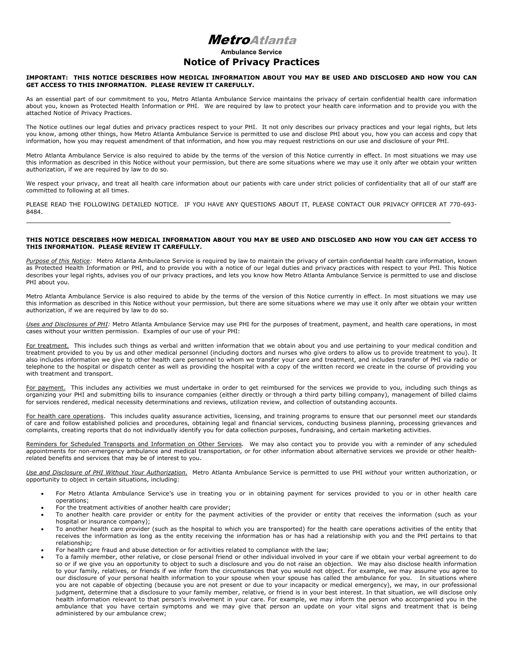## MetroAtlanta

## Ambulance Service Notice of Privacy Practices

## IMPORTANT: THIS NOTICE DESCRIBES HOW MEDICAL INFORMATION ABOUT YOU MAY BE USED AND DISCLOSED AND HOW YOU CAN GET ACCESS TO THIS INFORMATION. PLEASE REVIEW IT CAREFULLY.

As an essential part of our commitment to you, Metro Atlanta Ambulance Service maintains the privacy of certain confidential health care information about you, known as Protected Health Information or PHI. We are required by law to protect your health care information and to provide you with the attached Notice of Privacy Practices.

The Notice outlines our legal duties and privacy practices respect to your PHI. It not only describes our privacy practices and your legal rights, but lets you know, among other things, how Metro Atlanta Ambulance Service is permitted to use and disclose PHI about you, how you can access and copy that information, how you may request amendment of that information, and how you may request restrictions on our use and disclosure of your PHI.

Metro Atlanta Ambulance Service is also required to abide by the terms of the version of this Notice currently in effect. In most situations we may use this information as described in this Notice without your permission, but there are some situations where we may use it only after we obtain your written authorization, if we are required by law to do so.

We respect your privacy, and treat all health care information about our patients with care under strict policies of confidentiality that all of our staff are committed to following at all times.

PLEASE READ THE FOLLOWING DETAILED NOTICE. IF YOU HAVE ANY QUESTIONS ABOUT IT, PLEASE CONTACT OUR PRIVACY OFFICER AT 770-693- 8484.

## THIS NOTICE DESCRIBES HOW MEDICAL INFORMATION ABOUT YOU MAY BE USED AND DISCLOSED AND HOW YOU CAN GET ACCESS TO THIS INFORMATION. PLEASE REVIEW IT CAREFULLY.

*Purpose of this Notice:* Metro Atlanta Ambulance Service is required by law to maintain the privacy of certain confidential health care information, known as Protected Health Information or PHI, and to provide you with a notice of our legal duties and privacy practices with respect to your PHI. This Notice describes your legal rights, advises you of our privacy practices, and lets you know how Metro Atlanta Ambulance Service is permitted to use and disclose PHI about you.

Metro Atlanta Ambulance Service is also required to abide by the terms of the version of this Notice currently in effect. In most situations we may use this information as described in this Notice without your permission, but there are some situations where we may use it only after we obtain your written authorization, if we are required by law to do so.

*Uses and Disclosures of PHI:* Metro Atlanta Ambulance Service may use PHI for the purposes of treatment, payment, and health care operations, in most cases without your written permission. Examples of our use of your PHI:

For treatment. This includes such things as verbal and written information that we obtain about you and use pertaining to your medical condition and treatment provided to you by us and other medical personnel (including doctors and nurses who give orders to allow us to provide treatment to you). It also includes information we give to other health care personnel to whom we transfer your care and treatment, and includes transfer of PHI via radio or telephone to the hospital or dispatch center as well as providing the hospital with a copy of the written record we create in the course of providing you with treatment and transport.

For payment. This includes any activities we must undertake in order to get reimbursed for the services we provide to you, including such things as organizing your PHI and submitting bills to insurance companies (either directly or through a third party billing company), management of billed claims for services rendered, medical necessity determinations and reviews, utilization review, and collection of outstanding accounts.

For health care operations. This includes quality assurance activities, licensing, and training programs to ensure that our personnel meet our standards of care and follow established policies and procedures, obtaining legal and financial services, conducting business planning, processing grievances and complaints, creating reports that do not individually identify you for data collection purposes, fundraising, and certain marketing activities.

Reminders for Scheduled Transports and Information on Other Services*.* We may also contact you to provide you with a reminder of any scheduled appointments for non-emergency ambulance and medical transportation, or for other information about alternative services we provide or other healthrelated benefits and services that may be of interest to you.

*Use and Disclosure of PHI Without Your Authorization.* Metro Atlanta Ambulance Service is permitted to use PHI *without* your written authorization, or opportunity to object in certain situations, including:

- For Metro Atlanta Ambulance Service's use in treating you or in obtaining payment for services provided to you or in other health care operations;
- For the treatment activities of another health care provider;
- To another health care provider or entity for the payment activities of the provider or entity that receives the information (such as your hospital or insurance company);
- To another health care provider (such as the hospital to which you are transported) for the health care operations activities of the entity that receives the information as long as the entity receiving the information has or has had a relationship with you and the PHI pertains to that relationship;
- For health care fraud and abuse detection or for activities related to compliance with the law;
- To a family member, other relative, or close personal friend or other individual involved in your care if we obtain your verbal agreement to do so or if we give you an opportunity to object to such a disclosure and you do not raise an objection. We may also disclose health information to your family, relatives, or friends if we infer from the circumstances that you would not object. For example, we may assume you agree to our disclosure of your personal health information to your spouse when your spouse has called the ambulance for you. In situations where you are not capable of objecting (because you are not present or due to your incapacity or medical emergency), we may, in our professional judgment, determine that a disclosure to your family member, relative, or friend is in your best interest. In that situation, we will disclose only health information relevant to that person's involvement in your care. For example, we may inform the person who accompanied you in the ambulance that you have certain symptoms and we may give that person an update on your vital signs and treatment that is being administered by our ambulance crew;